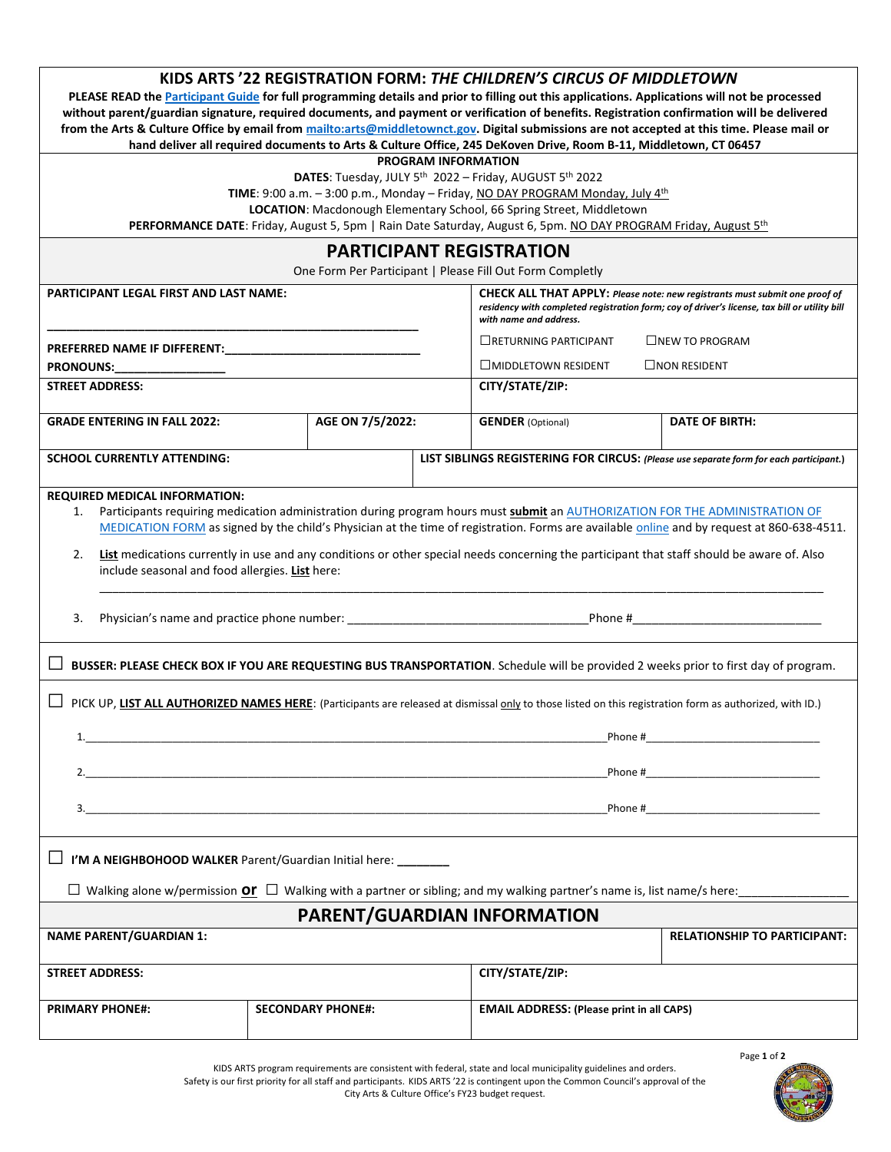| PLEASE READ the Participant Guide for full programming details and prior to filling out this applications. Applications will not be processed<br>without parent/guardian signature, required documents, and payment or verification of benefits. Registration confirmation will be delivered<br>from the Arts & Culture Office by email from mailto:arts@middletownct.gov. Digital submissions are not accepted at this time. Please mail or                                                             |                          | PROGRAM INFORMATION | KIDS ARTS '22 REGISTRATION FORM: THE CHILDREN'S CIRCUS OF MIDDLETOWN<br>hand deliver all required documents to Arts & Culture Office, 245 DeKoven Drive, Room B-11, Middletown, CT 06457<br>DATES: Tuesday, JULY 5 <sup>th</sup> 2022 - Friday, AUGUST 5 <sup>th</sup> 2022<br>TIME: 9:00 a.m. - 3:00 p.m., Monday - Friday, NO DAY PROGRAM Monday, July 4th<br>LOCATION: Macdonough Elementary School, 66 Spring Street, Middletown<br>PERFORMANCE DATE: Friday, August 5, 5pm   Rain Date Saturday, August 6, 5pm. NO DAY PROGRAM Friday, August 5th<br><b>PARTICIPANT REGISTRATION</b><br>One Form Per Participant   Please Fill Out Form Completly |                                                                                                                                     |  |  |
|----------------------------------------------------------------------------------------------------------------------------------------------------------------------------------------------------------------------------------------------------------------------------------------------------------------------------------------------------------------------------------------------------------------------------------------------------------------------------------------------------------|--------------------------|---------------------|--------------------------------------------------------------------------------------------------------------------------------------------------------------------------------------------------------------------------------------------------------------------------------------------------------------------------------------------------------------------------------------------------------------------------------------------------------------------------------------------------------------------------------------------------------------------------------------------------------------------------------------------------------|-------------------------------------------------------------------------------------------------------------------------------------|--|--|
| <b>PARTICIPANT LEGAL FIRST AND LAST NAME:</b>                                                                                                                                                                                                                                                                                                                                                                                                                                                            |                          |                     | <b>CHECK ALL THAT APPLY:</b> Please note: new registrants must submit one proof of<br>residency with completed registration form; coy of driver's license, tax bill or utility bill<br>with name and address.                                                                                                                                                                                                                                                                                                                                                                                                                                          |                                                                                                                                     |  |  |
| PREFERRED NAME IF DIFFERENT:<br><b>PRONOUNS:</b><br><b>STREET ADDRESS:</b>                                                                                                                                                                                                                                                                                                                                                                                                                               |                          |                     | $\Box$ RETURNING PARTICIPANT<br>$\Box$ MIDDLETOWN RESIDENT<br>CITY/STATE/ZIP:                                                                                                                                                                                                                                                                                                                                                                                                                                                                                                                                                                          | $L$ NEW TO PROGRAM<br>$\Box$ NON RESIDENT                                                                                           |  |  |
|                                                                                                                                                                                                                                                                                                                                                                                                                                                                                                          |                          |                     |                                                                                                                                                                                                                                                                                                                                                                                                                                                                                                                                                                                                                                                        |                                                                                                                                     |  |  |
| <b>GRADE ENTERING IN FALL 2022:</b>                                                                                                                                                                                                                                                                                                                                                                                                                                                                      | AGE ON 7/5/2022:         |                     | <b>GENDER</b> (Optional)                                                                                                                                                                                                                                                                                                                                                                                                                                                                                                                                                                                                                               | <b>DATE OF BIRTH:</b>                                                                                                               |  |  |
| <b>SCHOOL CURRENTLY ATTENDING:</b>                                                                                                                                                                                                                                                                                                                                                                                                                                                                       |                          |                     |                                                                                                                                                                                                                                                                                                                                                                                                                                                                                                                                                                                                                                                        | LIST SIBLINGS REGISTERING FOR CIRCUS: (Please use separate form for each participant.)                                              |  |  |
| Participants requiring medication administration during program hours must submit an AUTHORIZATION FOR THE ADMINISTRATION OF<br>1.<br>MEDICATION FORM as signed by the child's Physician at the time of registration. Forms are available online and by request at 860-638-4511.<br>List medications currently in use and any conditions or other special needs concerning the participant that staff should be aware of. Also<br>2.<br>include seasonal and food allergies. List here:<br>Phone #<br>3. |                          |                     |                                                                                                                                                                                                                                                                                                                                                                                                                                                                                                                                                                                                                                                        |                                                                                                                                     |  |  |
|                                                                                                                                                                                                                                                                                                                                                                                                                                                                                                          |                          |                     |                                                                                                                                                                                                                                                                                                                                                                                                                                                                                                                                                                                                                                                        | BUSSER: PLEASE CHECK BOX IF YOU ARE REQUESTING BUS TRANSPORTATION. Schedule will be provided 2 weeks prior to first day of program. |  |  |
| PICK UP, LIST ALL AUTHORIZED NAMES HERE: (Participants are released at dismissal only to those listed on this registration form as authorized, with ID.)<br>1.<br>and the control of the control of the control of the control of the control of the control of the control of the<br>$\overline{\mathbf{3.}}$                                                                                                                                                                                           |                          |                     |                                                                                                                                                                                                                                                                                                                                                                                                                                                                                                                                                                                                                                                        |                                                                                                                                     |  |  |
| I'M A NEIGHBOHOOD WALKER Parent/Guardian Initial here: ________<br>□ Walking alone w/permission Or □ Walking with a partner or sibling; and my walking partner's name is, list name/s here:                                                                                                                                                                                                                                                                                                              |                          |                     |                                                                                                                                                                                                                                                                                                                                                                                                                                                                                                                                                                                                                                                        |                                                                                                                                     |  |  |
| <b>PARENT/GUARDIAN INFORMATION</b>                                                                                                                                                                                                                                                                                                                                                                                                                                                                       |                          |                     |                                                                                                                                                                                                                                                                                                                                                                                                                                                                                                                                                                                                                                                        |                                                                                                                                     |  |  |
| <b>NAME PARENT/GUARDIAN 1:</b>                                                                                                                                                                                                                                                                                                                                                                                                                                                                           |                          |                     |                                                                                                                                                                                                                                                                                                                                                                                                                                                                                                                                                                                                                                                        | <b>RELATIONSHIP TO PARTICIPANT:</b>                                                                                                 |  |  |
| <b>STREET ADDRESS:</b>                                                                                                                                                                                                                                                                                                                                                                                                                                                                                   |                          |                     | CITY/STATE/ZIP:                                                                                                                                                                                                                                                                                                                                                                                                                                                                                                                                                                                                                                        |                                                                                                                                     |  |  |
| <b>PRIMARY PHONE#:</b>                                                                                                                                                                                                                                                                                                                                                                                                                                                                                   | <b>SECONDARY PHONE#:</b> |                     | <b>EMAIL ADDRESS: (Please print in all CAPS)</b>                                                                                                                                                                                                                                                                                                                                                                                                                                                                                                                                                                                                       |                                                                                                                                     |  |  |